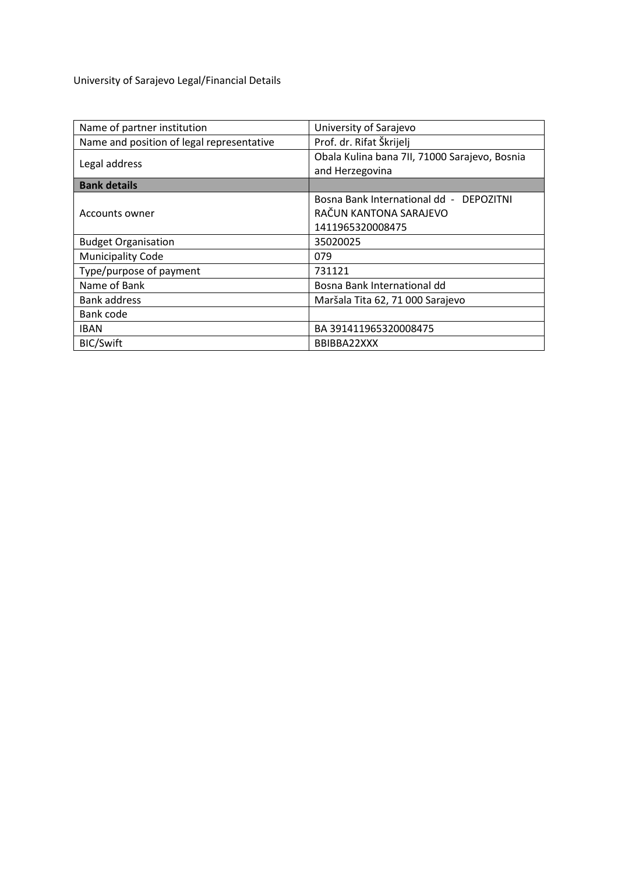University of Sarajevo Legal/Financial Details

| Name of partner institution               | University of Sarajevo                                           |  |  |
|-------------------------------------------|------------------------------------------------------------------|--|--|
| Name and position of legal representative | Prof. dr. Rifat Škrijelj                                         |  |  |
| Legal address                             | Obala Kulina bana 7II, 71000 Sarajevo, Bosnia<br>and Herzegovina |  |  |
| <b>Bank details</b>                       |                                                                  |  |  |
| Accounts owner                            | Bosna Bank International dd - DEPOZITNI                          |  |  |
|                                           | RAČUN KANTONA SARAJEVO                                           |  |  |
|                                           | 1411965320008475                                                 |  |  |
| <b>Budget Organisation</b>                | 35020025                                                         |  |  |
| <b>Municipality Code</b>                  | 079                                                              |  |  |
| Type/purpose of payment                   | 731121                                                           |  |  |
| Name of Bank                              | Bosna Bank International dd                                      |  |  |
| <b>Bank address</b>                       | Maršala Tita 62, 71 000 Sarajevo                                 |  |  |
| Bank code                                 |                                                                  |  |  |
| <b>IBAN</b>                               | BA 391411965320008475                                            |  |  |
| <b>BIC/Swift</b>                          | BBIBBA22XXX                                                      |  |  |